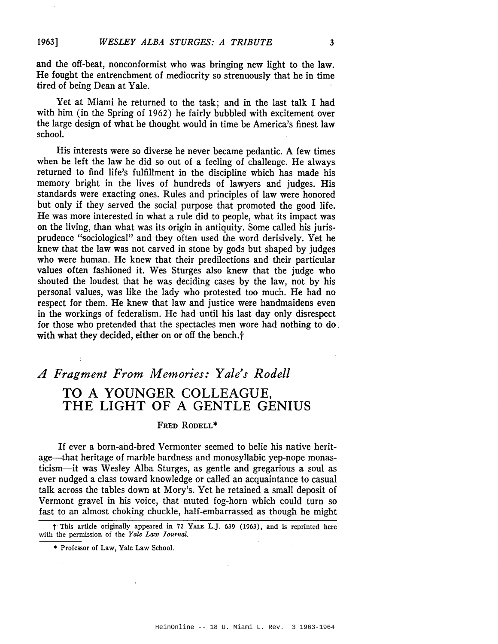and the off-beat, nonconformist who was bringing new light to the law. He fought the entrenchment of mediocrity so strenuously that he in time tired of being Dean at Yale.

Yet at Miami he returned to the task; and in the last talk I had with him (in the Spring of 1962) he fairly bubbled with excitement over the large design of what he thought would in time be America's finest law school.

His interests were so diverse he never became pedantic. A few times when he left the law he did so out of a feeling of challenge. He always returned to find life's fulfillment in the discipline which has made his memory bright in the lives of hundreds of lawyers and judges. His standards were exacting ones. Rules and principles of law were honored but only if they served the social purpose that promoted the good life. He was more interested in what a rule did to people, what its impact was on the living, than what was its origin in antiquity. Some called his jurisprudence "sociological" and they often used the word derisively. Yet he knew that the law was not carved in stone by gods but shaped by judges who were human. He knew that their predilections and their particular values often fashioned it. Wes Sturges also knew that the judge who shouted the loudest that he was deciding cases by the law, not by his personal values, was like the lady who protested too much. He had no respect for them. He knew that law and justice were handmaidens even in the workings of federalism. He had until his last day only disrespect for those who pretended that the spectacles men wore had nothing to do. with what they decided, either on or off the bench.t

## *A Fragment From Memories: Yale's Rodell* TO A YOUNGER COLLEAGUE, THE LIGHT OF A GENTLE GENIUS

## Fred Rodell\*

If ever a born-and-bred Vermonter seemed to belie his native heritage-that heritage of marble hardness and monosyllabic yep-nope monasticism-it was Wesley Alba Sturges, as gentle and gregarious a soul as ever nudged a class toward knowledge or called an acquaintance to casual talk across the tables down at Mory's. Yet he retained a small deposit of Vermont gravel in his voice, that muted fog-horn which could turn so fast to an almost choking chuckle, half-embarrassed as though he might

t·This article originally appeared in 72 YALE L.J. 639 (1963), and is reprinted here with the permission of the *Yale Law Journal.*

<sup>\*</sup> Professor of Law, Yale Law School.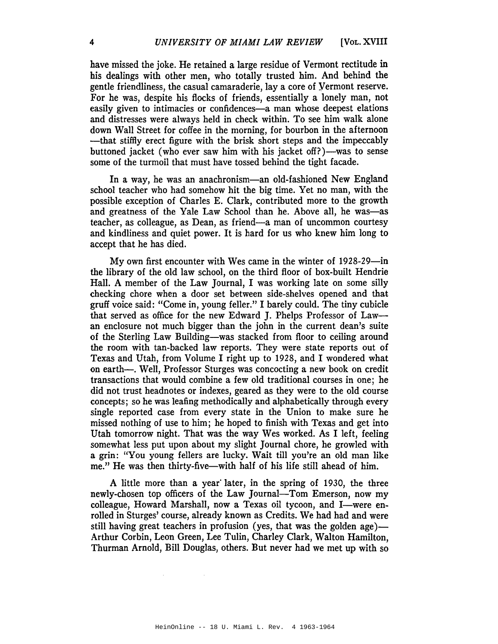have missed the joke. He retained a large residue of Vermont rectitude in his dealings with other men, who totally trusted him. And behind the gentle friendliness, the casual camaraderie, lay a core of Yermont reserve. For he was, despite his flocks of friends, essentially a lonely man, not easily given to intimacies or confidences-a man whose deepest elations and distresses were always held in check within. To see him walk alone down Wall Street for coffee in the morning, for bourbon in the afternoon -that stiffly erect figure with the brisk short steps and the impeccably buttoned jacket (who ever saw him with his jacket off?)—was to sense some of the turmoil that must have tossed behind the tight facade.

In a way, he was an anachronism—an old-fashioned New England school teacher who had somehow hit the big time. Yet no man, with the possible exception of Charles E. Clark, contributed more to the growth and greatness of the Yale Law School than he. Above all, he was—as teacher, as colleague, as Dean, as friend-a man of uncommon courtesy and kindliness and quiet power. It is hard for us who knew him long to accept that he has died.

My own first encounter with Wes came in the winter of 1928-29-in the library of the old law school, on the third floor of box-built Hendrie Hall. A member of the Law Journal, I was working late on some silly checking chore when a door set between side-shelves opened and that gruff voice said: "Come in, young feller." I barely could. The tiny cubicle that served as office for the new Edward J. Phelps Professor of Lawan enclosure not much bigger than the john in the current dean's suite of the Sterling Law Building-was stacked from floor to ceiling around the room with tan-backed law reports. They were state reports out of Texas and Utah, from Volume I right up to 1928, and I wondered what on earth—. Well, Professor Sturges was concocting a new book on credit transactions that would combine a few old traditional courses in one; he did not trust headnotes or indexes, geared as they were to the old course concepts; so he was leafing methodically and alphabetically through every single reported case from every state in the Union to make sure he missed nothing of use to him; he hoped to finish with Texas and get into Utah tomorrow night. That was the way Wes worked. As I left, feeling somewhat less put upon about my slight Journal chore, he growled with a grin: "You young fellers are lucky. Wait till you're an old man like me." He was then thirty-five-with half of his life still ahead of him.

A little more than a year' later, in the spring of 1930, the three newly-chosen top officers of the Law Journal-Tom Emerson, now my colleague, Howard Marshall, now a Texas oil tycoon, and I-were enrolled in Sturges' course, already known as Credits. We had had and were still having great teachers in profusion (yes, that was the golden age)— Arthur Corbin, Leon Green, Lee Tulin, Charley Clark, Walton Hamilton, Thurman Arnold, Bill Douglas, others. But never had we met up with so

 $\bar{z}$ 

 $\sim$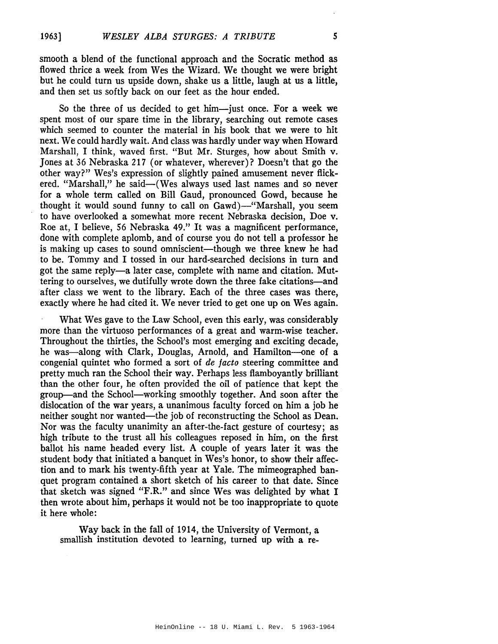smooth a blend of the functional approach and the Socratic method as flowed thrice a week from Wes the Wizard. We thought we were bright but he could turn us upside down, shake us a little, laugh at us a little, and then set us softly back on our feet as the hour ended.

So the three of us decided to get him-just once. For a week we spent most of our spare time in the library, searching out remote cases which seemed to counter the material in his book that we were to hit next. We could hardly wait. And class was hardly under way when Howard Marshall, I think, waved first. "But Mr. Sturges, how about Smith v. Jones at 36 Nebraska 217 (or whatever, wherever)? Doesn't that go the other way?" Wes's expression of slightly pained amusement never flickered. "Marshall," he said-(Wes always used last names and so never for a whole term called on Bill Gaud, pronounced Gowd, because he thought it would sound funny to call on Gawd)-"Marshall, you seem to have overlooked a somewhat more recent Nebraska decision, Doe v. Roe at, I believe, 56 Nebraska 49." It was a magnificent performance, done with complete aplomb, and of course you do not tell a professor he is making up cases to sound omniscient—though we three knew he had to be. Tommy and I tossed in our hard-searched decisions in turn and got the same reply-a later case, complete with name and citation. Muttering to ourselves, we dutifully wrote down the three fake citations-and after class we went to the library. Each of the three cases was there, exactly where he had cited it. We never tried to get one up on Wes again.

What Wes gave to the Law School, even this early, was considerably more than the virtuoso performances of a great and warm-wise teacher. Throughout the thirties, the School's most emerging and exciting decade, he was-along with Clark, Douglas, Arnold, and Hamilton-one of a congenial quintet who formed a sort of *de facto* steering committee and pretty much ran the School their way. Perhaps less flamboyantly brilliant than the other four, he often provided the oil of patience that kept the group-and the School-working smoothly together. And soon after the dislocation of the war years, a unanimous faculty forced on him a job he neither sought nor wanted—the job of reconstructing the School as Dean. Nor was the faculty unanimity an after-the-fact gesture of courtesy; as high tribute to the trust all his colleagues reposed in him, on the first ballot his name headed every list. A couple of years later it was the student body that initiated a banquet in Wes's honor, to show their affection and to mark his twenty-fifth year at Yale. The mimeographed banquet program contained a short sketch of his career to that date. Since that sketch was signed "F.R." and since Wes was delighted by what I then wrote about him, perhaps it would not be too inappropriate to quote it here whole:

Way back in the fall of 1914, the University of Vermont, a smallish institution devoted to learning, turned up with a re-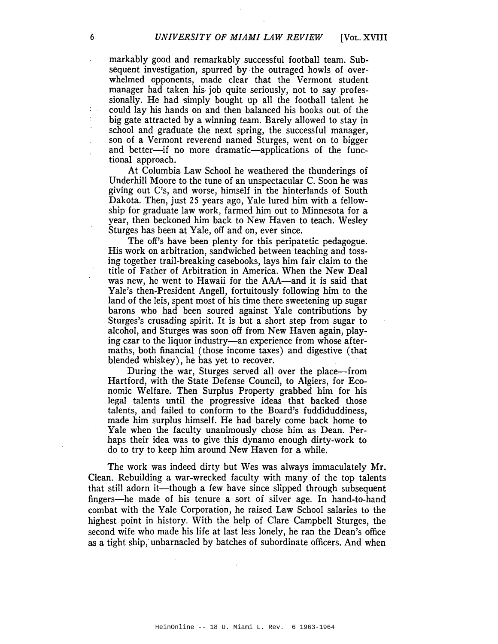markably good and remarkably successful football team. Subsequent investigation, spurred by the outraged howls of overwhelmed opponents, made clear that the Vermont student manager had taken his job quite seriously, not to say professionally. He had simply bought up all the football talent he could lay his hands on and then balanced his books out of the big gate attracted by a winning team. Barely allowed to stay in school and graduate the next spring, the successful manager, son of a Vermont reverend named Sturges, went on to bigger and better--if no more dramatic--applications of the functional approach.

At Columbia Law School he weathered the thunderings of Underhill Moore to the tune of an unspectacular C. Soon he was giving out C's, and worse, himself in the hinterlands of South Dakota. Then, just 25 years ago, Yale lured him with a fellowship for graduate law work, farmed him out to Minnesota for a year, then beckoned him back to New Haven to teach. Wesley Sturges has been at Yale, off and on, ever since.

The off's have been plenty for this peripatetic pedagogue. His work on arbitration, sandwiched between teaching and tossing together trail-breaking casebooks, lays him fair claim to the title of Father of Arbitration in America. When the New Deal was new, he went to Hawaii for the AAA—and it is said that Yale's then-President Angell, fortuitously following him to the land of the leis, spent most of his time there sweetening up sugar barons who had been soured against Yale contributions by Sturges's crusading spirit. It is but a short step from sugar to alcohol, and Sturges was soon off from New Haven again, playing czar to the liquor industry—an experience from whose aftermaths, both financial (those income taxes) and digestive (that blended whiskey), he has yet to recover.

During the war, Sturges served all over the place—from Hartford, with the State Defense Council, to Algiers, for Economic Welfare. Then Surplus Property grabbed him for his legal talents until the progressive ideas that backed those talents, and failed to conform to the Board's fuddiduddiness, made him surplus himself. He had barely come back home to Yale when the faculty unanimously chose him as Dean. Perhaps their idea was to give this dynamo enough dirty-work to do to try to keep him around New Haven for a while.

The work was indeed dirty but Wes was always immaculately Mr. Clean. Rebuilding a war-wrecked faculty with many of the top talents that still adorn it—though a few have since slipped through subsequent fingers-he made of his tenure a sort of silver age. In hand-to-hand combat with the Yale Corporation, he raised Law School salaries to the highest point in history. With the help of Clare Campbell Sturges, the second wife who made his life at last less lonely, he ran the Dean's office as a tight ship, unbarnacled by batches of subordinate officers. And when

÷